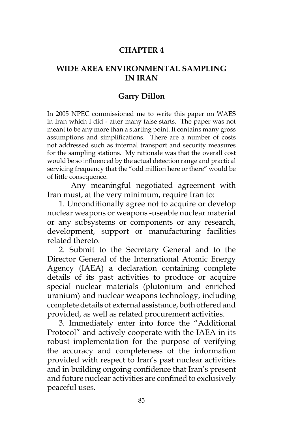# **CHAPTER 4**

#### **WIDE AREA ENVIRONMENTAL SAMPLING IN IRAN**

#### **Garry Dillon**

In 2005 NPEC commissioned me to write this paper on WAES in Iran which I did - after many false starts. The paper was not meant to be any more than a starting point. It contains many gross assumptions and simplifications. There are a number of costs not addressed such as internal transport and security measures for the sampling stations. My rationale was that the overall cost would be so influenced by the actual detection range and practical servicing frequency that the "odd million here or there" would be of little consequence.

Any meaningful negotiated agreement with Iran must, at the very minimum, require Iran to:

1. Unconditionally agree not to acquire or develop nuclear weapons or weapons -useable nuclear material or any subsystems or components or any research, development, support or manufacturing facilities related thereto.

2. Submit to the Secretary General and to the Director General of the International Atomic Energy Agency (IAEA) a declaration containing complete details of its past activities to produce or acquire special nuclear materials (plutonium and enriched uranium) and nuclear weapons technology, including complete details of external assistance, both offered and provided, as well as related procurement activities.

3. Immediately enter into force the "Additional Protocol" and actively cooperate with the IAEA in its robust implementation for the purpose of verifying the accuracy and completeness of the information provided with respect to Iran's past nuclear activities and in building ongoing confidence that Iran's present and future nuclear activities are confined to exclusively peaceful uses.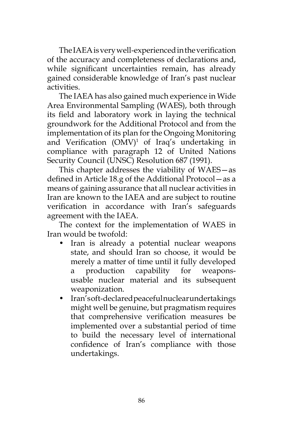The IAEA is very well-experienced in the verification of the accuracy and completeness of declarations and, while significant uncertainties remain, has already gained considerable knowledge of Iran's past nuclear activities.

The IAEA has also gained much experience in Wide Area Environmental Sampling (WAES), both through its field and laboratory work in laying the technical groundwork for the Additional Protocol and from the implementation of its plan for the Ongoing Monitoring and Verification  $(OMV)^1$  of Iraq's undertaking in compliance with paragraph 12 of United Nations Security Council (UNSC) Resolution 687 (1991).

This chapter addresses the viability of WAES—as defined in Article 18.g of the Additional Protocol—as a means of gaining assurance that all nuclear activities in Iran are known to the IAEA and are subject to routine verification in accordance with Iran's safeguards agreement with the IAEA.

The context for the implementation of WAES in Iran would be twofold:

- Iran is already a potential nuclear weapons state, and should Iran so choose, it would be merely a matter of time until it fully developed a production capability for weaponsusable nuclear material and its subsequent weaponization.
- Iran's oft-declared peaceful nuclear undertakings might well be genuine, but pragmatism requires that comprehensive verification measures be implemented over a substantial period of time to build the necessary level of international confidence of Iran's compliance with those undertakings.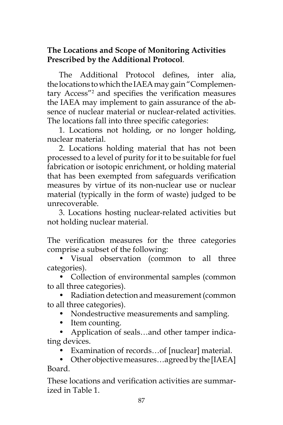# **The Locations and Scope of Monitoring Activities Prescribed by the Additional Protocol**.

The Additional Protocol defines, inter alia, the locations to which the IAEA may gain "Complementary Access"2 and specifies the verification measures the IAEA may implement to gain assurance of the absence of nuclear material or nuclear-related activities. The locations fall into three specific categories:

1. Locations not holding, or no longer holding, nuclear material.

2. Locations holding material that has not been processed to a level of purity for it to be suitable for fuel fabrication or isotopic enrichment, or holding material that has been exempted from safeguards verification measures by virtue of its non-nuclear use or nuclear material (typically in the form of waste) judged to be unrecoverable.

3. Locations hosting nuclear-related activities but not holding nuclear material.

The verification measures for the three categories comprise a subset of the following:

• Visual observation (common to all three categories).

• Collection of environmental samples (common to all three categories).

• Radiation detection and measurement (common to all three categories).

• Nondestructive measurements and sampling.

• Item counting.

• Application of seals…and other tamper indicating devices.

• Examination of records…of [nuclear] material.

• Other objective measures…agreed by the [IAEA] Board.

These locations and verification activities are summarized in Table 1.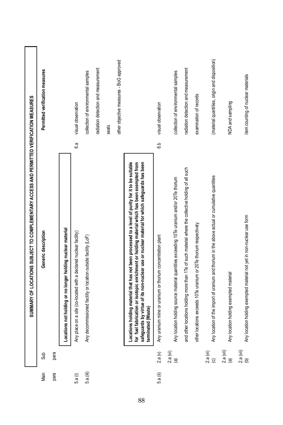|           |                                                                  | SUMMARY OF LOCATIONS SUBJECT TO COMPLEMENTARY ACCESS AND PERMITTED VERIFICATION MEASURES                                                                                                                                             |         |                                               |
|-----------|------------------------------------------------------------------|--------------------------------------------------------------------------------------------------------------------------------------------------------------------------------------------------------------------------------------|---------|-----------------------------------------------|
| Main      | Sub                                                              | Generic description                                                                                                                                                                                                                  |         | Permitted verification measures               |
| para      | para                                                             |                                                                                                                                                                                                                                      |         |                                               |
|           |                                                                  |                                                                                                                                                                                                                                      |         |                                               |
| 5.a (i)   |                                                                  | Locations not holding or no longer holding nuclear material<br>Any place on a site (co-located with a declared nuclear facility)<br>Any decommissioned facility or location outside facility (LoF)                                   | 6.a     | visual observation                            |
| 5.a.(iii) |                                                                  |                                                                                                                                                                                                                                      |         | collection of environmental samples           |
|           |                                                                  |                                                                                                                                                                                                                                      |         | radiation detection and measurement           |
|           |                                                                  |                                                                                                                                                                                                                                      |         | seals                                         |
|           |                                                                  |                                                                                                                                                                                                                                      |         | other objective measures - BoG approved       |
|           |                                                                  | Locations holding material that has not been processed to a level of purity for it to be suitable<br>for fuel fabrication or isotopic enrichment or holding material which has been exempted from<br>safeguards by virtue of its non |         |                                               |
| 5.a (ii)  |                                                                  | Any uranium mine or uranium or thorium concentration plant                                                                                                                                                                           | e.<br>G | visual observation                            |
|           | $\begin{array}{cc} 2.a & (v) \\ 2.a & (vi) \\ (a) & \end{array}$ | Any location holding source material quantities exceeding 10Te uranium and/or 20Te thorium                                                                                                                                           |         | collection of environmental samples           |
|           |                                                                  | and other locations holding more than 1Te of such material where the collective holding of all such                                                                                                                                  |         | radiation detection and measurement           |
|           |                                                                  | other locations exceeds 10Te uranium or 20Te thorium respectively                                                                                                                                                                    |         | examination of records                        |
|           | $2.a (vi)$<br>$(c)$                                              | Any location of the import of uranium and thorium in the above actual or cumulative quantities                                                                                                                                       |         | (material quantities, origin and disposition) |
|           | $2.a (Vii)$<br>(a)                                               | Any location holding exempted material                                                                                                                                                                                               |         | NDA and sampling                              |
|           | $2.a (vii)$<br>(b)                                               | Any location holding exempted material not yet in non-nuclear use form                                                                                                                                                               |         | item counting of nuclear materials            |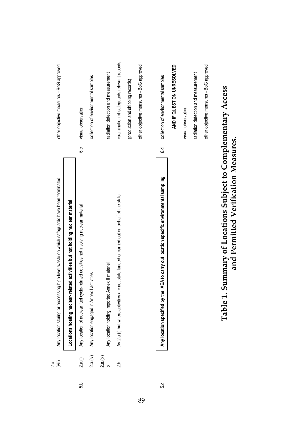|     | $\begin{matrix} \left( \mathbf{m} \right) \end{matrix}$<br>2a | Any location storing or processing high-level waste on which safeguards have been terminated          |     | other objective measures - BoG approved    |  |
|-----|---------------------------------------------------------------|-------------------------------------------------------------------------------------------------------|-----|--------------------------------------------|--|
|     |                                                               | Locations hosting nuclear-related activities but not holding nuclear material                         |     |                                            |  |
| 5.b | 2.a(1)                                                        | Any location of nuclear fuel cycle-related activities not involving nuclear material                  | 6.c | visual observation                         |  |
|     | 2.a.(iv)                                                      | Any location engaged in Annex I activities                                                            |     | collection of environmental samples        |  |
|     | 2.a.(i x)                                                     | Any location holding imported Annex II materiel                                                       |     | radiation detection and measurement        |  |
|     | 2b                                                            | As 2.a (i) but where activities are not state funded or carried out on behalf of the state            |     | examination of safeguards relevant records |  |
|     |                                                               |                                                                                                       |     | (production and shipping records)          |  |
|     |                                                               |                                                                                                       |     | other objective measures - BoG approved    |  |
|     |                                                               |                                                                                                       |     |                                            |  |
| 5.0 |                                                               | Any location specified by the IAEA to carry out location specific environmental sampling              | 6.d | collection of environmental samples        |  |
|     |                                                               |                                                                                                       |     | AND IF QUESTION UNRESOLVED                 |  |
|     |                                                               |                                                                                                       |     | visual observation                         |  |
|     |                                                               |                                                                                                       |     | radiation detection and measurement        |  |
|     |                                                               |                                                                                                       |     | other objective measures - BoG approved    |  |
|     |                                                               | Table 1. Summary of Locations Subject to Complementary Access<br>and Permitted Verification Measures. |     |                                            |  |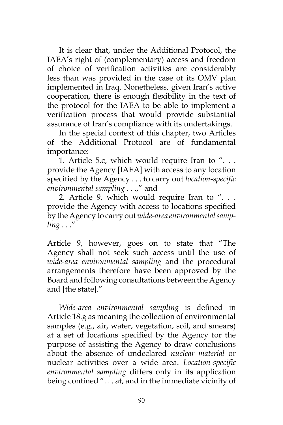It is clear that, under the Additional Protocol, the IAEA's right of (complementary) access and freedom of choice of verification activities are considerably less than was provided in the case of its OMV plan implemented in Iraq. Nonetheless, given Iran's active cooperation, there is enough flexibility in the text of the protocol for the IAEA to be able to implement a verification process that would provide substantial assurance of Iran's compliance with its undertakings.

In the special context of this chapter, two Articles of the Additional Protocol are of fundamental importance:

1. Article 5.c, which would require Iran to  $"$ ... provide the Agency [IAEA] with access to any location specified by the Agency . . . to carry out *location-specific environmental sampling* . . .," and

2. Article 9, which would require Iran to ". . . provide the Agency with access to locations specified by the Agency to carry out *wide-area environmental sampling* . . ."

Article 9, however, goes on to state that "The Agency shall not seek such access until the use of *wide-area environmental sampling* and the procedural arrangements therefore have been approved by the Board and following consultations between the Agency and [the state]."

*Wide-area environmental sampling* is defined in Article 18.g as meaning the collection of environmental samples (e.g., air, water, vegetation, soil, and smears) at a set of locations specified by the Agency for the purpose of assisting the Agency to draw conclusions about the absence of undeclared *nuclear material* or nuclear activities over a wide area. *Location-specific environmental sampling* differs only in its application being confined ". . . at, and in the immediate vicinity of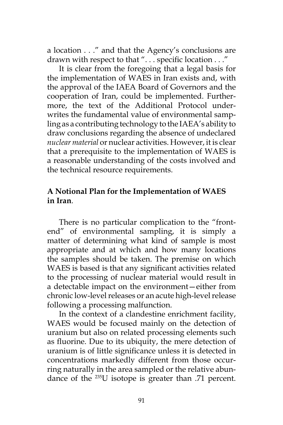a location . . ." and that the Agency's conclusions are drawn with respect to that ". . . specific location . . ."

It is clear from the foregoing that a legal basis for the implementation of WAES in Iran exists and, with the approval of the IAEA Board of Governors and the cooperation of Iran, could be implemented. Furthermore, the text of the Additional Protocol underwrites the fundamental value of environmental sampling as a contributing technology to the IAEA's ability to draw conclusions regarding the absence of undeclared *nuclear material* or nuclear activities. However, it is clear that a prerequisite to the implementation of WAES is a reasonable understanding of the costs involved and the technical resource requirements.

#### **A Notional Plan for the Implementation of WAES in Iran**.

There is no particular complication to the "frontend" of environmental sampling, it is simply a matter of determining what kind of sample is most appropriate and at which and how many locations the samples should be taken. The premise on which WAES is based is that any significant activities related to the processing of nuclear material would result in a detectable impact on the environment—either from chronic low-level releases or an acute high-level release following a processing malfunction.

In the context of a clandestine enrichment facility, WAES would be focused mainly on the detection of uranium but also on related processing elements such as fluorine. Due to its ubiquity, the mere detection of uranium is of little significance unless it is detected in concentrations markedly different from those occurring naturally in the area sampled or the relative abundance of the 235U isotope is greater than .71 percent.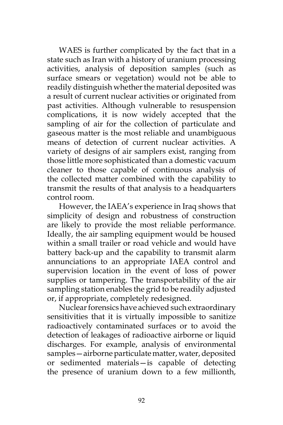WAES is further complicated by the fact that in a state such as Iran with a history of uranium processing activities, analysis of deposition samples (such as surface smears or vegetation) would not be able to readily distinguish whether the material deposited was a result of current nuclear activities or originated from past activities. Although vulnerable to resuspension complications, it is now widely accepted that the sampling of air for the collection of particulate and gaseous matter is the most reliable and unambiguous means of detection of current nuclear activities. A variety of designs of air samplers exist, ranging from those little more sophisticated than a domestic vacuum cleaner to those capable of continuous analysis of the collected matter combined with the capability to transmit the results of that analysis to a headquarters control room.

However, the IAEA's experience in Iraq shows that simplicity of design and robustness of construction are likely to provide the most reliable performance. Ideally, the air sampling equipment would be housed within a small trailer or road vehicle and would have battery back-up and the capability to transmit alarm annunciations to an appropriate IAEA control and supervision location in the event of loss of power supplies or tampering. The transportability of the air sampling station enables the grid to be readily adjusted or, if appropriate, completely redesigned.

Nuclear forensics have achieved such extraordinary sensitivities that it is virtually impossible to sanitize radioactively contaminated surfaces or to avoid the detection of leakages of radioactive airborne or liquid discharges. For example, analysis of environmental samples—airborne particulate matter, water, deposited or sedimented materials—is capable of detecting the presence of uranium down to a few millionth,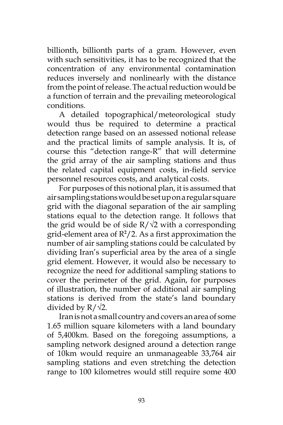billionth, billionth parts of a gram. However, even with such sensitivities, it has to be recognized that the concentration of any environmental contamination reduces inversely and nonlinearly with the distance from the point of release. The actual reduction would be a function of terrain and the prevailing meteorological conditions.

A detailed topographical/meteorological study would thus be required to determine a practical detection range based on an assessed notional release and the practical limits of sample analysis. It is, of course this "detection range-R" that will determine the grid array of the air sampling stations and thus the related capital equipment costs, in-field service personnel resources costs, and analytical costs.

For purposes of this notional plan, it is assumed that air sampling stations would be set up on a regular square grid with the diagonal separation of the air sampling stations equal to the detection range. It follows that the grid would be of side  $R/\sqrt{2}$  with a corresponding grid-element area of R**<sup>2</sup>** /2. As a first approximation the number of air sampling stations could be calculated by dividing Iran's superficial area by the area of a single grid element. However, it would also be necessary to recognize the need for additional sampling stations to cover the perimeter of the grid. Again, for purposes of illustration, the number of additional air sampling stations is derived from the state's land boundary divided by  $R/\sqrt{2}$ .

Iran is not a small country and covers an area of some 1.65 million square kilometers with a land boundary of 5,400km. Based on the foregoing assumptions, a sampling network designed around a detection range of 10km would require an unmanageable 33,764 air sampling stations and even stretching the detection range to 100 kilometres would still require some 400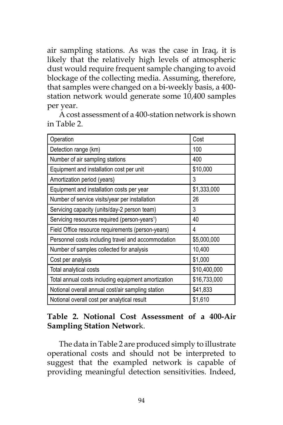air sampling stations. As was the case in Iraq, it is likely that the relatively high levels of atmospheric dust would require frequent sample changing to avoid blockage of the collecting media. Assuming, therefore, that samples were changed on a bi-weekly basis, a 400 station network would generate some 10,400 samples per year.

A cost assessment of a 400-station network is shown in Table 2.

| Operation                                                 | Cost         |
|-----------------------------------------------------------|--------------|
| Detection range (km)                                      | 100          |
| Number of air sampling stations                           | 400          |
| Equipment and installation cost per unit                  | \$10,000     |
| Amortization period (years)                               | 3            |
| Equipment and installation costs per year                 | \$1,333,000  |
| Number of service visits/year per installation            | 26           |
| Servicing capacity (units/day-2 person team)              | 3            |
| Servicing resources required (person-years <sup>1</sup> ) | 40           |
| Field Office resource requirements (person-years)         | 4            |
| Personnel costs including travel and accommodation        | \$5,000,000  |
| Number of samples collected for analysis                  | 10,400       |
| Cost per analysis                                         | \$1,000      |
| Total analytical costs                                    | \$10,400,000 |
| Total annual costs including equipment amortization       | \$16,733,000 |
| Notional overall annual cost/air sampling station         | \$41,833     |
| Notional overall cost per analytical result               | \$1,610      |

# **Table 2. Notional Cost Assessment of a 400-Air Sampling Station Networ**k.

The data in Table 2 are produced simply to illustrate operational costs and should not be interpreted to suggest that the exampled network is capable of providing meaningful detection sensitivities. Indeed,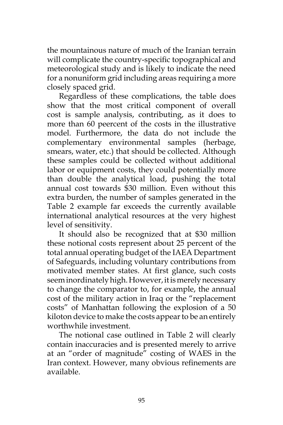the mountainous nature of much of the Iranian terrain will complicate the country-specific topographical and meteorological study and is likely to indicate the need for a nonuniform grid including areas requiring a more closely spaced grid.

Regardless of these complications, the table does show that the most critical component of overall cost is sample analysis, contributing, as it does to more than 60 peercent of the costs in the illustrative model. Furthermore, the data do not include the complementary environmental samples (herbage, smears, water, etc.) that should be collected. Although these samples could be collected without additional labor or equipment costs, they could potentially more than double the analytical load, pushing the total annual cost towards \$30 million. Even without this extra burden, the number of samples generated in the Table 2 example far exceeds the currently available international analytical resources at the very highest level of sensitivity.

It should also be recognized that at \$30 million these notional costs represent about 25 percent of the total annual operating budget of the IAEA Department of Safeguards, including voluntary contributions from motivated member states. At first glance, such costs seem inordinately high. However, it is merely necessary to change the comparator to, for example, the annual cost of the military action in Iraq or the "replacement costs" of Manhattan following the explosion of a 50 kiloton device to make the costs appear to be an entirely worthwhile investment.

The notional case outlined in Table 2 will clearly contain inaccuracies and is presented merely to arrive at an "order of magnitude" costing of WAES in the Iran context. However, many obvious refinements are available.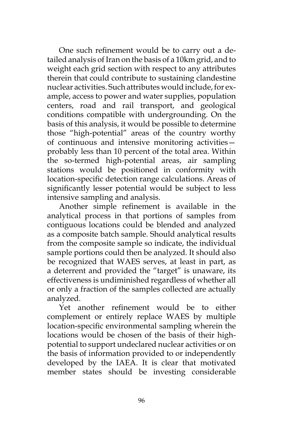One such refinement would be to carry out a detailed analysis of Iran on the basis of a 10km grid, and to weight each grid section with respect to any attributes therein that could contribute to sustaining clandestine nuclear activities. Such attributes would include, for example, access to power and water supplies, population centers, road and rail transport, and geological conditions compatible with undergrounding. On the basis of this analysis, it would be possible to determine those "high-potential" areas of the country worthy of continuous and intensive monitoring activities probably less than 10 percent of the total area. Within the so-termed high-potential areas, air sampling stations would be positioned in conformity with location-specific detection range calculations. Areas of significantly lesser potential would be subject to less intensive sampling and analysis.

Another simple refinement is available in the analytical process in that portions of samples from contiguous locations could be blended and analyzed as a composite batch sample. Should analytical results from the composite sample so indicate, the individual sample portions could then be analyzed. It should also be recognized that WAES serves, at least in part, as a deterrent and provided the "target" is unaware, its effectiveness is undiminished regardless of whether all or only a fraction of the samples collected are actually analyzed.

Yet another refinement would be to either complement or entirely replace WAES by multiple location-specific environmental sampling wherein the locations would be chosen of the basis of their highpotential to support undeclared nuclear activities or on the basis of information provided to or independently developed by the IAEA. It is clear that motivated member states should be investing considerable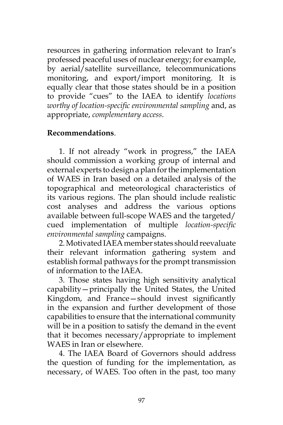resources in gathering information relevant to Iran's professed peaceful uses of nuclear energy; for example, by aerial/satellite surveillance, telecommunications monitoring, and export/import monitoring. It is equally clear that those states should be in a position to provide "cues" to the IAEA to identify *locations worthy of location-specific environmental sampling* and, as appropriate, *complementary access*.

### **Recommendations**.

1. If not already "work in progress," the IAEA should commission a working group of internal and external experts to design a plan for the implementation of WAES in Iran based on a detailed analysis of the topographical and meteorological characteristics of its various regions. The plan should include realistic cost analyses and address the various options available between full-scope WAES and the targeted/ cued implementation of multiple *location-specific environmental sampling* campaigns.

2. Motivated IAEA member states should reevaluate their relevant information gathering system and establish formal pathways for the prompt transmission of information to the IAEA.

3. Those states having high sensitivity analytical capability—principally the United States, the United Kingdom, and France—should invest significantly in the expansion and further development of those capabilities to ensure that the international community will be in a position to satisfy the demand in the event that it becomes necessary/appropriate to implement WAES in Iran or elsewhere.

4. The IAEA Board of Governors should address the question of funding for the implementation, as necessary, of WAES. Too often in the past, too many